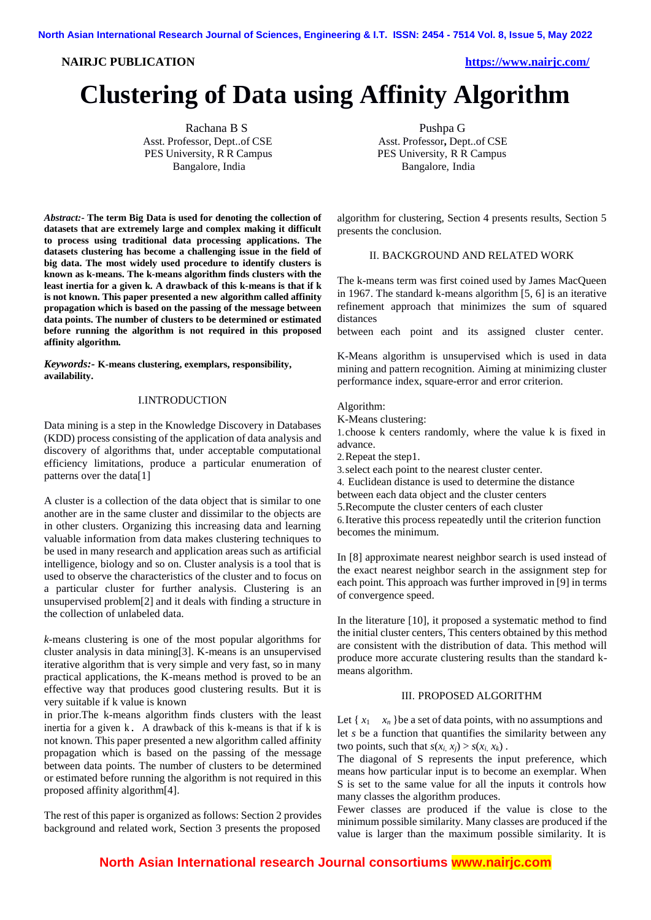**NAIRJC PUBLICATION https://www.nairjc.com/**

# **Clustering of Data using Affinity Algorithm**

Rachana B S Asst. Professor, Dept..of CSE PES University, R R Campus Bangalore, India

*Abstract:-* **The term Big Data is used for denoting the collection of datasets that are extremely large and complex making it difficult to process using traditional data processing applications. The datasets clustering has become a challenging issue in the field of big data. The most widely used procedure to identify clusters is known as k-means. The k-means algorithm finds clusters with the least inertia for a given k. A drawback of this k-means is that if k is not known. This paper presented a new algorithm called affinity propagation which is based on the passing of the message between data points. The number of clusters to be determined or estimated before running the algorithm is not required in this proposed affinity algorithm.**

*Keywords:-* **K-means clustering, exemplars, responsibility, availability.**

# I.INTRODUCTION

Data mining is a step in the Knowledge Discovery in Databases (KDD) process consisting of the application of data analysis and discovery of algorithms that, under acceptable computational efficiency limitations, produce a particular enumeration of patterns over the data[1]

A cluster is a collection of the data object that is similar to one another are in the same cluster and dissimilar to the objects are in other clusters. Organizing this increasing data and learning valuable information from data makes clustering techniques to be used in many research and application areas such as artificial intelligence, biology and so on. Cluster analysis is a tool that is used to observe the characteristics of the cluster and to focus on a particular cluster for further analysis. Clustering is an unsupervised problem[2] and it deals with finding a structure in the collection of unlabeled data.

*k*-means clustering is one of the most popular algorithms for cluster analysis in data mining[3]. K-means is an unsupervised iterative algorithm that is very simple and very fast, so in many practical applications, the K-means method is proved to be an effective way that produces good clustering results. But it is very suitable if k value is known

in prior.The k-means algorithm finds clusters with the least inertia for a given k. A drawback of this k-means is that if k is not known. This paper presented a new algorithm called affinity propagation which is based on the passing of the message between data points. The number of clusters to be determined or estimated before running the algorithm is not required in this proposed affinity algorithm[4].

The rest of this paper is organized as follows: Section 2 provides background and related work, Section 3 presents the proposed

Pushpa G Asst. Professor**,** Dept..of CSE PES University, R R Campus<br>Bangalore, India

algorithm for clustering, Section 4 presents results, Section 5 presents the conclusion.

# II. BACKGROUND AND RELATED WORK

The k-means term was first coined used by James MacQueen in 1967. The standard k-means algorithm [5, 6] is an iterative refinement approach that minimizes the sum of squared distances

between each point and its assigned cluster center.

K-Means algorithm is unsupervised which is used in data mining and pattern recognition. Aiming at minimizing cluster performance index, square-error and error criterion.

Algorithm:

K-Means clustering:

1.choose k centers randomly, where the value k is fixed in advance.

2.Repeat the step1.

3.select each point to the nearest cluster center.

4. Euclidean distance is used to determine the distance

between each data object and the cluster centers

5.Recompute the cluster centers of each cluster

6.Iterative this process repeatedly until the criterion function becomes the minimum.

In [8] approximate nearest neighbor search is used instead of the exact nearest neighbor search in the assignment step for each point. This approach was further improved in [9] in terms of convergence speed.

In the literature [10], it proposed a systematic method to find the initial cluster centers, This centers obtained by this method are consistent with the distribution of data. This method will produce more accurate clustering results than the standard kmeans algorithm.

### III. PROPOSED ALGORITHM

Let  $\{x_1 \ldots x_n\}$ be a set of data points, with no assumptions and let *s* be a function that quantifies the similarity between any two points, such that  $s(x_i, x_j) > s(x_i, x_k)$ .

The diagonal of S represents the input preference, which means how particular input is to become an exemplar. When S is set to the same value for all the inputs it controls how many classes the algorithm produces.

Fewer classes are produced if the value is close to the minimum possible similarity. Many classes are produced if the value is larger than the maximum possible similarity. It is